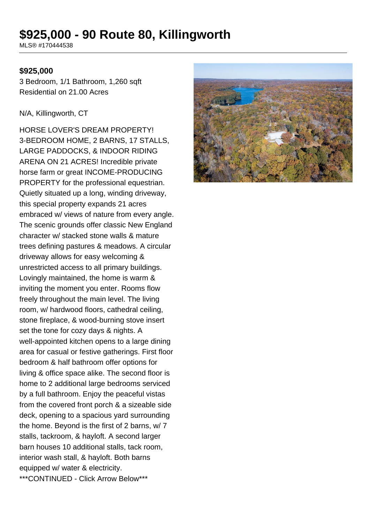# **\$925,000 - 90 Route 80, Killingworth**

MLS® #170444538

#### **\$925,000**

3 Bedroom, 1/1 Bathroom, 1,260 sqft Residential on 21.00 Acres

N/A, Killingworth, CT

HORSE LOVER'S DREAM PROPERTY! 3-BEDROOM HOME, 2 BARNS, 17 STALLS, LARGE PADDOCKS, & INDOOR RIDING ARENA ON 21 ACRES! Incredible private horse farm or great INCOME-PRODUCING PROPERTY for the professional equestrian. Quietly situated up a long, winding driveway, this special property expands 21 acres embraced w/ views of nature from every angle. The scenic grounds offer classic New England character w/ stacked stone walls & mature trees defining pastures & meadows. A circular driveway allows for easy welcoming & unrestricted access to all primary buildings. Lovingly maintained, the home is warm & inviting the moment you enter. Rooms flow freely throughout the main level. The living room, w/ hardwood floors, cathedral ceiling, stone fireplace, & wood-burning stove insert set the tone for cozy days & nights. A well-appointed kitchen opens to a large dining area for casual or festive gatherings. First floor bedroom & half bathroom offer options for living & office space alike. The second floor is home to 2 additional large bedrooms serviced by a full bathroom. Enjoy the peaceful vistas from the covered front porch & a sizeable side deck, opening to a spacious yard surrounding the home. Beyond is the first of 2 barns, w/ 7 stalls, tackroom, & hayloft. A second larger barn houses 10 additional stalls, tack room, interior wash stall, & hayloft. Both barns equipped w/ water & electricity. \*\*\*CONTINUED - Click Arrow Below\*\*\*

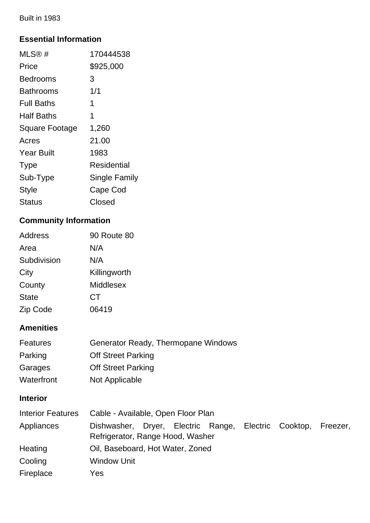Built in 1983

### **Essential Information**

| MLS@#                 | 170444538            |
|-----------------------|----------------------|
| Price                 | \$925,000            |
| Bedrooms              | 3                    |
| <b>Bathrooms</b>      | 1/1                  |
| Full Baths            | 1                    |
| Half Baths            | 1                    |
| <b>Square Footage</b> | 1,260                |
| Acres                 | 21.00                |
| <b>Year Built</b>     | 1983                 |
| <b>Type</b>           | Residential          |
| Sub-Type              | <b>Single Family</b> |
| <b>Style</b>          | Cape Cod             |
| Status                | Closed               |

## **Community Information**

| Address      | <b>90 Route 80</b> |
|--------------|--------------------|
| Area         | N/A                |
| Subdivision  | N/A                |
| City         | Killingworth       |
| County       | Middlesex          |
| <b>State</b> | СT                 |
| Zip Code     | 06419              |

## **Amenities**

| Features   | <b>Generator Ready, Thermopane Windows</b> |
|------------|--------------------------------------------|
| Parking    | <b>Off Street Parking</b>                  |
| Garages    | <b>Off Street Parking</b>                  |
| Waterfront | Not Applicable                             |

## **Interior**

| <b>Interior Features</b> | Cable - Available, Open Floor Plan                                                                |  |  |  |  |
|--------------------------|---------------------------------------------------------------------------------------------------|--|--|--|--|
| Appliances               | Dishwasher, Dryer, Electric Range, Electric Cooktop, Freezer,<br>Refrigerator, Range Hood, Washer |  |  |  |  |
| Heating                  | Oil, Baseboard, Hot Water, Zoned                                                                  |  |  |  |  |
| Cooling                  | <b>Window Unit</b>                                                                                |  |  |  |  |
| Fireplace                | Yes                                                                                               |  |  |  |  |